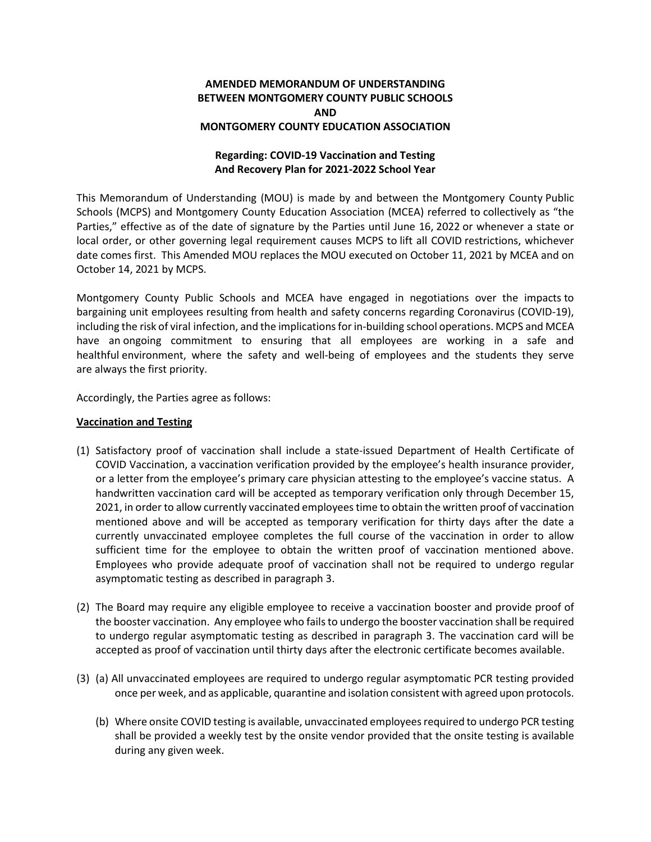# **AMENDED MEMORANDUM OF UNDERSTANDING BETWEEN MONTGOMERY COUNTY PUBLIC SCHOOLS AND MONTGOMERY COUNTY EDUCATION ASSOCIATION**

## **Regarding: COVID-19 Vaccination and Testing And Recovery Plan for 2021-2022 School Year**

This Memorandum of Understanding (MOU) is made by and between the Montgomery County Public Schools (MCPS) and Montgomery County Education Association (MCEA) referred to collectively as "the Parties," effective as of the date of signature by the Parties until June 16, 2022 or whenever a state or local order, or other governing legal requirement causes MCPS to lift all COVID restrictions, whichever date comes first. This Amended MOU replaces the MOU executed on October 11, 2021 by MCEA and on October 14, 2021 by MCPS.

Montgomery County Public Schools and MCEA have engaged in negotiations over the impacts to bargaining unit employees resulting from health and safety concerns regarding Coronavirus (COVID-19), including the risk of viral infection, and the implications for in-building school operations. MCPS and MCEA have an ongoing commitment to ensuring that all employees are working in a safe and healthful environment, where the safety and well-being of employees and the students they serve are always the first priority.

Accordingly, the Parties agree as follows:

#### **Vaccination and Testing**

- (1) Satisfactory proof of vaccination shall include a state-issued Department of Health Certificate of COVID Vaccination, a vaccination verification provided by the employee's health insurance provider, or a letter from the employee's primary care physician attesting to the employee's vaccine status. A handwritten vaccination card will be accepted as temporary verification only through December 15, 2021, in order to allow currently vaccinated employees time to obtain the written proof of vaccination mentioned above and will be accepted as temporary verification for thirty days after the date a currently unvaccinated employee completes the full course of the vaccination in order to allow sufficient time for the employee to obtain the written proof of vaccination mentioned above. Employees who provide adequate proof of vaccination shall not be required to undergo regular asymptomatic testing as described in paragraph 3.
- (2) The Board may require any eligible employee to receive a vaccination booster and provide proof of the booster vaccination. Any employee who fails to undergo the booster vaccination shall be required to undergo regular asymptomatic testing as described in paragraph 3. The vaccination card will be accepted as proof of vaccination until thirty days after the electronic certificate becomes available.
- (3) (a) All unvaccinated employees are required to undergo regular asymptomatic PCR testing provided once per week, and as applicable, quarantine and isolation consistent with agreed upon protocols.
	- (b) Where onsite COVID testing is available, unvaccinated employees required to undergo PCR testing shall be provided a weekly test by the onsite vendor provided that the onsite testing is available during any given week.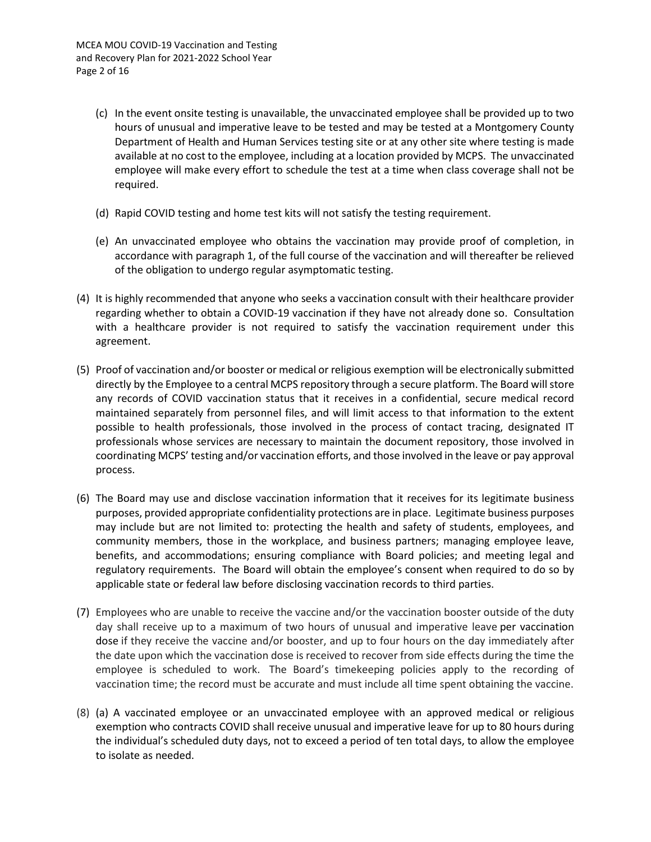- (c) In the event onsite testing is unavailable, the unvaccinated employee shall be provided up to two hours of unusual and imperative leave to be tested and may be tested at a Montgomery County Department of Health and Human Services testing site or at any other site where testing is made available at no cost to the employee, including at a location provided by MCPS. The unvaccinated employee will make every effort to schedule the test at a time when class coverage shall not be required.
- (d) Rapid COVID testing and home test kits will not satisfy the testing requirement.
- (e) An unvaccinated employee who obtains the vaccination may provide proof of completion, in accordance with paragraph 1, of the full course of the vaccination and will thereafter be relieved of the obligation to undergo regular asymptomatic testing.
- (4) It is highly recommended that anyone who seeks a vaccination consult with their healthcare provider regarding whether to obtain a COVID-19 vaccination if they have not already done so. Consultation with a healthcare provider is not required to satisfy the vaccination requirement under this agreement.
- (5) Proof of vaccination and/or booster or medical or religious exemption will be electronically submitted directly by the Employee to a central MCPS repository through a secure platform. The Board will store any records of COVID vaccination status that it receives in a confidential, secure medical record maintained separately from personnel files, and will limit access to that information to the extent possible to health professionals, those involved in the process of contact tracing, designated IT professionals whose services are necessary to maintain the document repository, those involved in coordinating MCPS' testing and/or vaccination efforts, and those involved in the leave or pay approval process.
- (6) The Board may use and disclose vaccination information that it receives for its legitimate business purposes, provided appropriate confidentiality protections are in place. Legitimate business purposes may include but are not limited to: protecting the health and safety of students, employees, and community members, those in the workplace, and business partners; managing employee leave, benefits, and accommodations; ensuring compliance with Board policies; and meeting legal and regulatory requirements. The Board will obtain the employee's consent when required to do so by applicable state or federal law before disclosing vaccination records to third parties.
- (7) Employees who are unable to receive the vaccine and/or the vaccination booster outside of the duty day shall receive up to a maximum of two hours of unusual and imperative leave per vaccination dose if they receive the vaccine and/or booster, and up to four hours on the day immediately after the date upon which the vaccination dose is received to recover from side effects during the time the employee is scheduled to work. The Board's timekeeping policies apply to the recording of vaccination time; the record must be accurate and must include all time spent obtaining the vaccine.
- (8) (a) A vaccinated employee or an unvaccinated employee with an approved medical or religious exemption who contracts COVID shall receive unusual and imperative leave for up to 80 hours during the individual's scheduled duty days, not to exceed a period of ten total days, to allow the employee to isolate as needed.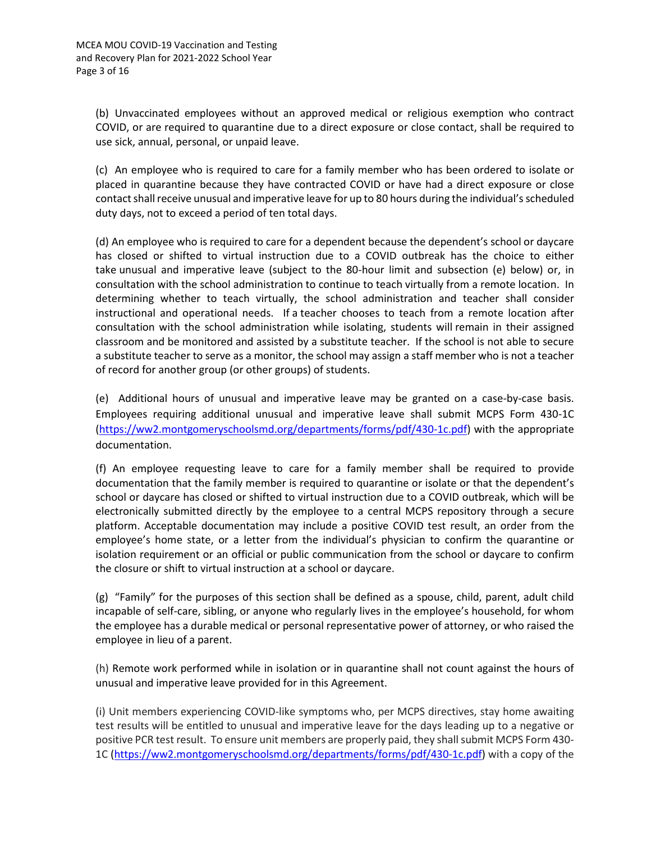(b) Unvaccinated employees without an approved medical or religious exemption who contract COVID, or are required to quarantine due to a direct exposure or close contact, shall be required to use sick, annual, personal, or unpaid leave.

(c) An employee who is required to care for a family member who has been ordered to isolate or placed in quarantine because they have contracted COVID or have had a direct exposure or close contact shall receive unusual and imperative leave for up to 80 hours during the individual's scheduled duty days, not to exceed a period of ten total days.

(d) An employee who is required to care for a dependent because the dependent's school or daycare has closed or shifted to virtual instruction due to a COVID outbreak has the choice to either take unusual and imperative leave (subject to the 80-hour limit and subsection (e) below) or, in consultation with the school administration to continue to teach virtually from a remote location. In determining whether to teach virtually, the school administration and teacher shall consider instructional and operational needs. If a teacher chooses to teach from a remote location after consultation with the school administration while isolating, students will remain in their assigned classroom and be monitored and assisted by a substitute teacher. If the school is not able to secure a substitute teacher to serve as a monitor, the school may assign a staff member who is not a teacher of record for another group (or other groups) of students.

(e) Additional hours of unusual and imperative leave may be granted on a case-by-case basis. Employees requiring additional unusual and imperative leave shall submit MCPS Form 430-1C [\(https://ww2.montgomeryschoolsmd.org/departments/forms/pdf/430-1c.pdf\)](https://ww2.montgomeryschoolsmd.org/departments/forms/pdf/430-1c.pdf) with the appropriate documentation.

(f) An employee requesting leave to care for a family member shall be required to provide documentation that the family member is required to quarantine or isolate or that the dependent's school or daycare has closed or shifted to virtual instruction due to a COVID outbreak, which will be electronically submitted directly by the employee to a central MCPS repository through a secure platform. Acceptable documentation may include a positive COVID test result, an order from the employee's home state, or a letter from the individual's physician to confirm the quarantine or isolation requirement or an official or public communication from the school or daycare to confirm the closure or shift to virtual instruction at a school or daycare.

(g) "Family" for the purposes of this section shall be defined as a spouse, child, parent, adult child incapable of self-care, sibling, or anyone who regularly lives in the employee's household, for whom the employee has a durable medical or personal representative power of attorney, or who raised the employee in lieu of a parent.

(h) Remote work performed while in isolation or in quarantine shall not count against the hours of unusual and imperative leave provided for in this Agreement.

(i) Unit members experiencing COVID-like symptoms who, per MCPS directives, stay home awaiting test results will be entitled to unusual and imperative leave for the days leading up to a negative or positive PCR test result. To ensure unit members are properly paid, they shall submit MCPS Form 430- 1C [\(https://ww2.montgomeryschoolsmd.org/departments/forms/pdf/430-1c.pdf\)](https://ww2.montgomeryschoolsmd.org/departments/forms/pdf/430-1c.pdf) with a copy of the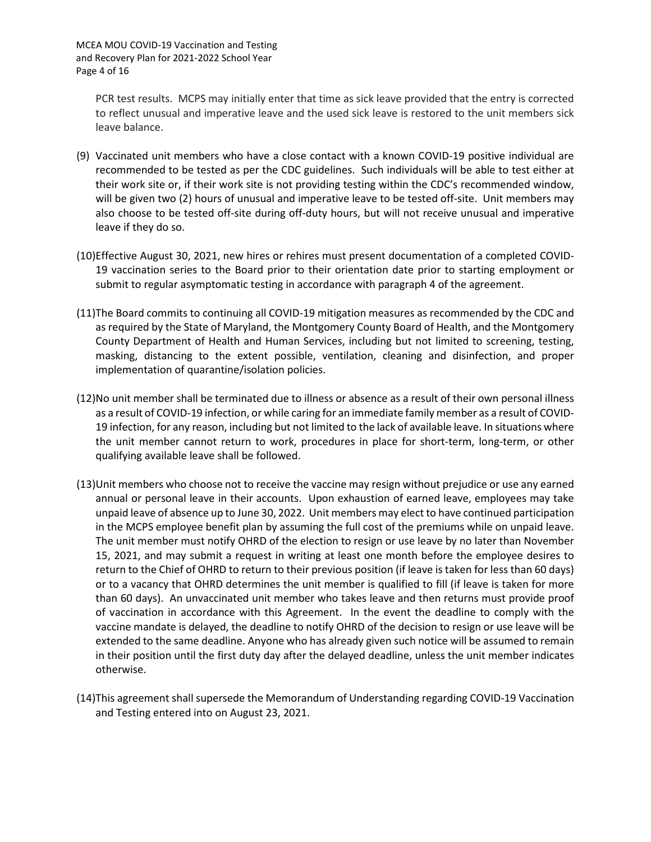PCR test results. MCPS may initially enter that time as sick leave provided that the entry is corrected to reflect unusual and imperative leave and the used sick leave is restored to the unit members sick leave balance.

- (9) Vaccinated unit members who have a close contact with a known COVID-19 positive individual are recommended to be tested as per the CDC guidelines. Such individuals will be able to test either at their work site or, if their work site is not providing testing within the CDC's recommended window, will be given two (2) hours of unusual and imperative leave to be tested off-site. Unit members may also choose to be tested off-site during off-duty hours, but will not receive unusual and imperative leave if they do so.
- (10)Effective August 30, 2021, new hires or rehires must present documentation of a completed COVID-19 vaccination series to the Board prior to their orientation date prior to starting employment or submit to regular asymptomatic testing in accordance with paragraph 4 of the agreement.
- (11)The Board commits to continuing all COVID-19 mitigation measures as recommended by the CDC and as required by the State of Maryland, the Montgomery County Board of Health, and the Montgomery County Department of Health and Human Services, including but not limited to screening, testing, masking, distancing to the extent possible, ventilation, cleaning and disinfection, and proper implementation of quarantine/isolation policies.
- (12)No unit member shall be terminated due to illness or absence as a result of their own personal illness as a result of COVID-19 infection, or while caring for an immediate family member as a result of COVID-19 infection, for any reason, including but not limited to the lack of available leave. In situations where the unit member cannot return to work, procedures in place for short-term, long-term, or other qualifying available leave shall be followed.
- (13)Unit members who choose not to receive the vaccine may resign without prejudice or use any earned annual or personal leave in their accounts. Upon exhaustion of earned leave, employees may take unpaid leave of absence up to June 30, 2022. Unit members may elect to have continued participation in the MCPS employee benefit plan by assuming the full cost of the premiums while on unpaid leave. The unit member must notify OHRD of the election to resign or use leave by no later than November 15, 2021, and may submit a request in writing at least one month before the employee desires to return to the Chief of OHRD to return to their previous position (if leave is taken for less than 60 days) or to a vacancy that OHRD determines the unit member is qualified to fill (if leave is taken for more than 60 days). An unvaccinated unit member who takes leave and then returns must provide proof of vaccination in accordance with this Agreement. In the event the deadline to comply with the vaccine mandate is delayed, the deadline to notify OHRD of the decision to resign or use leave will be extended to the same deadline. Anyone who has already given such notice will be assumed to remain in their position until the first duty day after the delayed deadline, unless the unit member indicates otherwise.
- (14)This agreement shall supersede the Memorandum of Understanding regarding COVID-19 Vaccination and Testing entered into on August 23, 2021.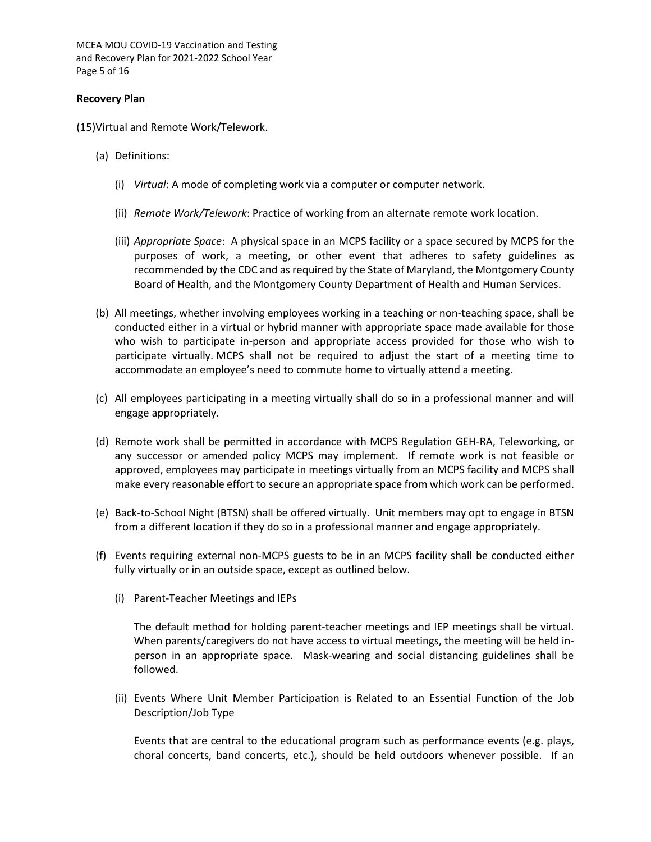MCEA MOU COVID-19 Vaccination and Testing and Recovery Plan for 2021-2022 School Year Page 5 of 16

#### **Recovery Plan**

(15)Virtual and Remote Work/Telework.

- (a) Definitions:
	- (i) *Virtual*: A mode of completing work via a computer or computer network.
	- (ii) *Remote Work/Telework*: Practice of working from an alternate remote work location.
	- (iii) *Appropriate Space*: A physical space in an MCPS facility or a space secured by MCPS for the purposes of work, a meeting, or other event that adheres to safety guidelines as recommended by the CDC and as required by the State of Maryland, the Montgomery County Board of Health, and the Montgomery County Department of Health and Human Services.
- (b) All meetings, whether involving employees working in a teaching or non-teaching space, shall be conducted either in a virtual or hybrid manner with appropriate space made available for those who wish to participate in-person and appropriate access provided for those who wish to participate virtually. MCPS shall not be required to adjust the start of a meeting time to accommodate an employee's need to commute home to virtually attend a meeting.
- (c) All employees participating in a meeting virtually shall do so in a professional manner and will engage appropriately.
- (d) Remote work shall be permitted in accordance with MCPS Regulation GEH-RA, Teleworking, or any successor or amended policy MCPS may implement. If remote work is not feasible or approved, employees may participate in meetings virtually from an MCPS facility and MCPS shall make every reasonable effort to secure an appropriate space from which work can be performed.
- (e) Back-to-School Night (BTSN) shall be offered virtually. Unit members may opt to engage in BTSN from a different location if they do so in a professional manner and engage appropriately.
- (f) Events requiring external non-MCPS guests to be in an MCPS facility shall be conducted either fully virtually or in an outside space, except as outlined below.
	- (i) Parent-Teacher Meetings and IEPs

The default method for holding parent-teacher meetings and IEP meetings shall be virtual. When parents/caregivers do not have access to virtual meetings, the meeting will be held inperson in an appropriate space. Mask-wearing and social distancing guidelines shall be followed.

(ii) Events Where Unit Member Participation is Related to an Essential Function of the Job Description/Job Type

Events that are central to the educational program such as performance events (e.g. plays, choral concerts, band concerts, etc.), should be held outdoors whenever possible. If an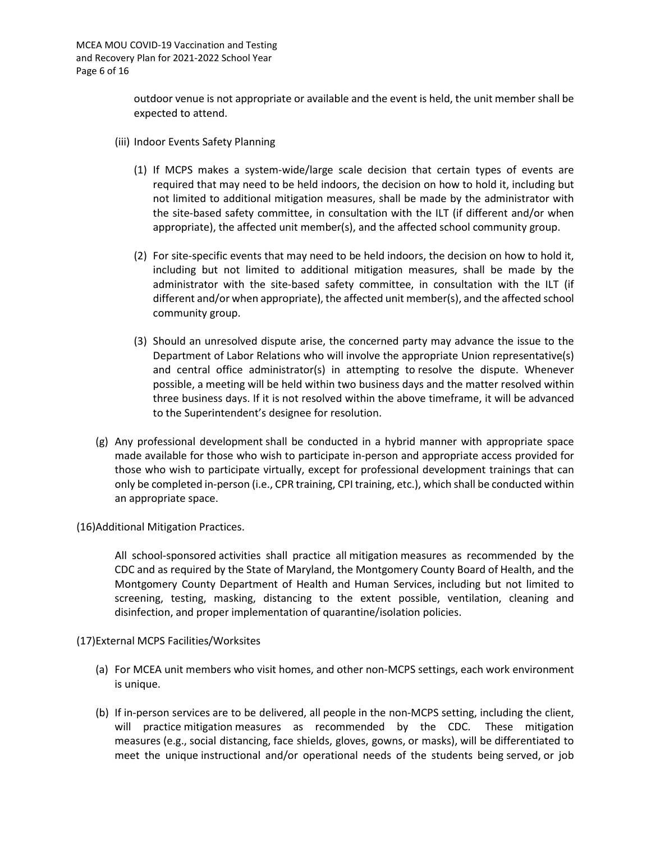outdoor venue is not appropriate or available and the event is held, the unit member shall be expected to attend.

- (iii) Indoor Events Safety Planning
	- (1) If MCPS makes a system-wide/large scale decision that certain types of events are required that may need to be held indoors, the decision on how to hold it, including but not limited to additional mitigation measures, shall be made by the administrator with the site-based safety committee, in consultation with the ILT (if different and/or when appropriate), the affected unit member(s), and the affected school community group.
	- (2) For site-specific events that may need to be held indoors, the decision on how to hold it, including but not limited to additional mitigation measures, shall be made by the administrator with the site-based safety committee, in consultation with the ILT (if different and/or when appropriate), the affected unit member(s), and the affected school community group.
	- (3) Should an unresolved dispute arise, the concerned party may advance the issue to the Department of Labor Relations who will involve the appropriate Union representative(s) and central office administrator(s) in attempting to resolve the dispute. Whenever possible, a meeting will be held within two business days and the matter resolved within three business days. If it is not resolved within the above timeframe, it will be advanced to the Superintendent's designee for resolution.
- (g) Any professional development shall be conducted in a hybrid manner with appropriate space made available for those who wish to participate in-person and appropriate access provided for those who wish to participate virtually, except for professional development trainings that can only be completed in-person (i.e., CPR training, CPI training, etc.), which shall be conducted within an appropriate space.

(16)Additional Mitigation Practices.

All school-sponsored activities shall practice all mitigation measures as recommended by the CDC and as required by the State of Maryland, the Montgomery County Board of Health, and the Montgomery County Department of Health and Human Services, including but not limited to screening, testing, masking, distancing to the extent possible, ventilation, cleaning and disinfection, and proper implementation of quarantine/isolation policies.

(17)External MCPS Facilities/Worksites

- (a) For MCEA unit members who visit homes, and other non-MCPS settings, each work environment is unique.
- (b) If in-person services are to be delivered, all people in the non-MCPS setting, including the client, will practice mitigation measures as recommended by the CDC. These mitigation measures (e.g., social distancing, face shields, gloves, gowns, or masks), will be differentiated to meet the unique instructional and/or operational needs of the students being served, or job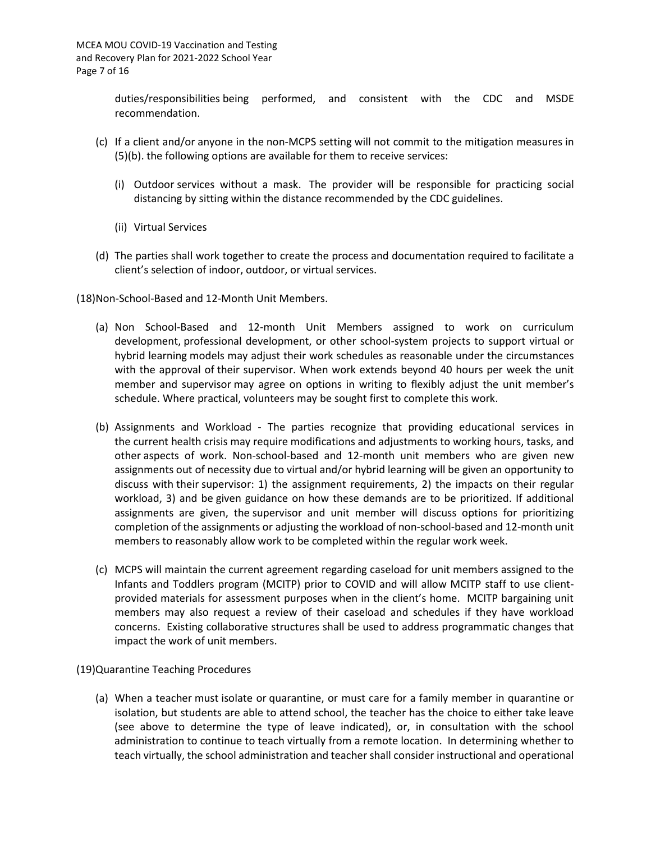duties/responsibilities being performed, and consistent with the CDC and MSDE recommendation.

- (c) If a client and/or anyone in the non-MCPS setting will not commit to the mitigation measures in (5)(b). the following options are available for them to receive services:
	- (i) Outdoor services without a mask. The provider will be responsible for practicing social distancing by sitting within the distance recommended by the CDC guidelines.
	- (ii) Virtual Services
- (d) The parties shall work together to create the process and documentation required to facilitate a client's selection of indoor, outdoor, or virtual services.
- (18)Non-School-Based and 12-Month Unit Members.
	- (a) Non School-Based and 12-month Unit Members assigned to work on curriculum development, professional development, or other school-system projects to support virtual or hybrid learning models may adjust their work schedules as reasonable under the circumstances with the approval of their supervisor. When work extends beyond 40 hours per week the unit member and supervisor may agree on options in writing to flexibly adjust the unit member's schedule. Where practical, volunteers may be sought first to complete this work.
	- (b) Assignments and Workload The parties recognize that providing educational services in the current health crisis may require modifications and adjustments to working hours, tasks, and other aspects of work. Non-school-based and 12-month unit members who are given new assignments out of necessity due to virtual and/or hybrid learning will be given an opportunity to discuss with their supervisor: 1) the assignment requirements, 2) the impacts on their regular workload, 3) and be given guidance on how these demands are to be prioritized. If additional assignments are given, the supervisor and unit member will discuss options for prioritizing completion of the assignments or adjusting the workload of non-school-based and 12-month unit members to reasonably allow work to be completed within the regular work week.
	- (c) MCPS will maintain the current agreement regarding caseload for unit members assigned to the Infants and Toddlers program (MCITP) prior to COVID and will allow MCITP staff to use clientprovided materials for assessment purposes when in the client's home. MCITP bargaining unit members may also request a review of their caseload and schedules if they have workload concerns. Existing collaborative structures shall be used to address programmatic changes that impact the work of unit members.

(19)Quarantine Teaching Procedures

(a) When a teacher must isolate or quarantine, or must care for a family member in quarantine or isolation, but students are able to attend school, the teacher has the choice to either take leave (see above to determine the type of leave indicated), or, in consultation with the school administration to continue to teach virtually from a remote location. In determining whether to teach virtually, the school administration and teacher shall consider instructional and operational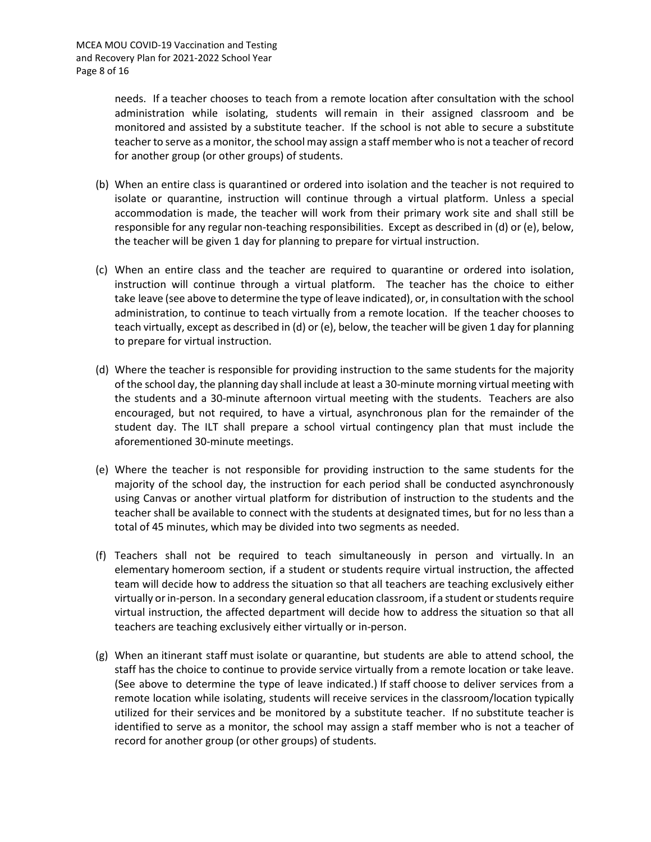needs. If a teacher chooses to teach from a remote location after consultation with the school administration while isolating, students will remain in their assigned classroom and be monitored and assisted by a substitute teacher. If the school is not able to secure a substitute teacher to serve as a monitor, the school may assign a staff member who is not a teacher of record for another group (or other groups) of students.

- (b) When an entire class is quarantined or ordered into isolation and the teacher is not required to isolate or quarantine, instruction will continue through a virtual platform. Unless a special accommodation is made, the teacher will work from their primary work site and shall still be responsible for any regular non-teaching responsibilities. Except as described in (d) or (e), below, the teacher will be given 1 day for planning to prepare for virtual instruction.
- (c) When an entire class and the teacher are required to quarantine or ordered into isolation, instruction will continue through a virtual platform. The teacher has the choice to either take leave (see above to determine the type of leave indicated), or, in consultation with the school administration, to continue to teach virtually from a remote location. If the teacher chooses to teach virtually, except as described in (d) or (e), below, the teacher will be given 1 day for planning to prepare for virtual instruction.
- (d) Where the teacher is responsible for providing instruction to the same students for the majority of the school day, the planning day shall include at least a 30-minute morning virtual meeting with the students and a 30-minute afternoon virtual meeting with the students. Teachers are also encouraged, but not required, to have a virtual, asynchronous plan for the remainder of the student day. The ILT shall prepare a school virtual contingency plan that must include the aforementioned 30-minute meetings.
- (e) Where the teacher is not responsible for providing instruction to the same students for the majority of the school day, the instruction for each period shall be conducted asynchronously using Canvas or another virtual platform for distribution of instruction to the students and the teacher shall be available to connect with the students at designated times, but for no less than a total of 45 minutes, which may be divided into two segments as needed.
- (f) Teachers shall not be required to teach simultaneously in person and virtually. In an elementary homeroom section, if a student or students require virtual instruction, the affected team will decide how to address the situation so that all teachers are teaching exclusively either virtually or in-person. In a secondary general education classroom, if a student or students require virtual instruction, the affected department will decide how to address the situation so that all teachers are teaching exclusively either virtually or in-person.
- (g) When an itinerant staff must isolate or quarantine, but students are able to attend school, the staff has the choice to continue to provide service virtually from a remote location or take leave. (See above to determine the type of leave indicated.) If staff choose to deliver services from a remote location while isolating, students will receive services in the classroom/location typically utilized for their services and be monitored by a substitute teacher. If no substitute teacher is identified to serve as a monitor, the school may assign a staff member who is not a teacher of record for another group (or other groups) of students.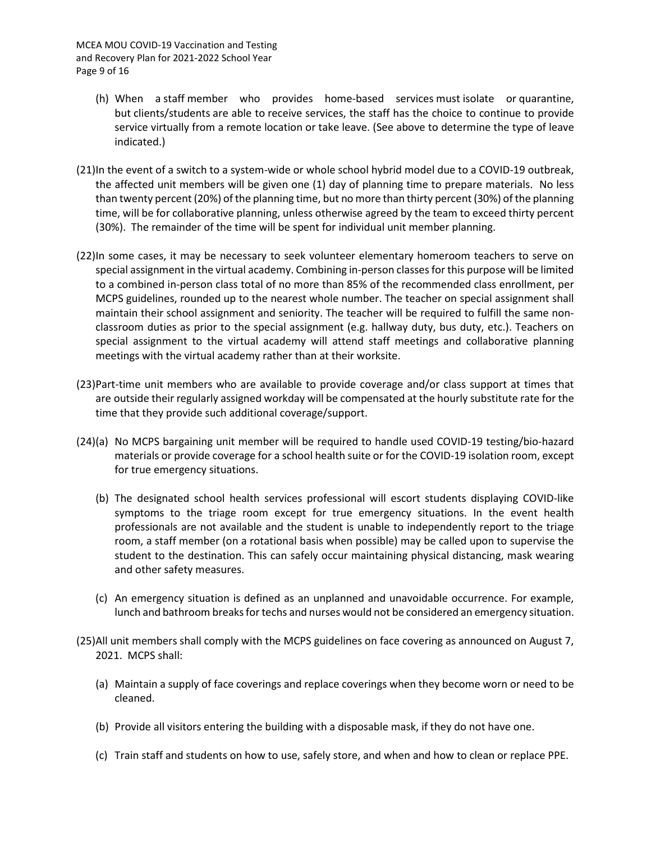- (h) When a staff member who provides home-based services must isolate or quarantine, but clients/students are able to receive services, the staff has the choice to continue to provide service virtually from a remote location or take leave. (See above to determine the type of leave indicated.)
- (21)In the event of a switch to a system-wide or whole school hybrid model due to a COVID-19 outbreak, the affected unit members will be given one (1) day of planning time to prepare materials. No less than twenty percent (20%) of the planning time, but no more than thirty percent (30%) of the planning time, will be for collaborative planning, unless otherwise agreed by the team to exceed thirty percent (30%). The remainder of the time will be spent for individual unit member planning.
- (22)In some cases, it may be necessary to seek volunteer elementary homeroom teachers to serve on special assignment in the virtual academy. Combining in-person classes for this purpose will be limited to a combined in-person class total of no more than 85% of the recommended class enrollment, per MCPS guidelines, rounded up to the nearest whole number. The teacher on special assignment shall maintain their school assignment and seniority. The teacher will be required to fulfill the same nonclassroom duties as prior to the special assignment (e.g. hallway duty, bus duty, etc.). Teachers on special assignment to the virtual academy will attend staff meetings and collaborative planning meetings with the virtual academy rather than at their worksite.
- (23)Part-time unit members who are available to provide coverage and/or class support at times that are outside their regularly assigned workday will be compensated at the hourly substitute rate for the time that they provide such additional coverage/support.
- (24)(a) No MCPS bargaining unit member will be required to handle used COVID-19 testing/bio-hazard materials or provide coverage for a school health suite or for the COVID-19 isolation room, except for true emergency situations.
	- (b) The designated school health services professional will escort students displaying COVID-like symptoms to the triage room except for true emergency situations. In the event health professionals are not available and the student is unable to independently report to the triage room, a staff member (on a rotational basis when possible) may be called upon to supervise the student to the destination. This can safely occur maintaining physical distancing, mask wearing and other safety measures.
	- (c) An emergency situation is defined as an unplanned and unavoidable occurrence. For example, lunch and bathroom breaks for techs and nurses would not be considered an emergency situation.
- (25)All unit members shall comply with the MCPS guidelines on face covering as announced on August 7, 2021. MCPS shall:
	- (a) Maintain a supply of face coverings and replace coverings when they become worn or need to be cleaned.
	- (b) Provide all visitors entering the building with a disposable mask, if they do not have one.
	- (c) Train staff and students on how to use, safely store, and when and how to clean or replace PPE.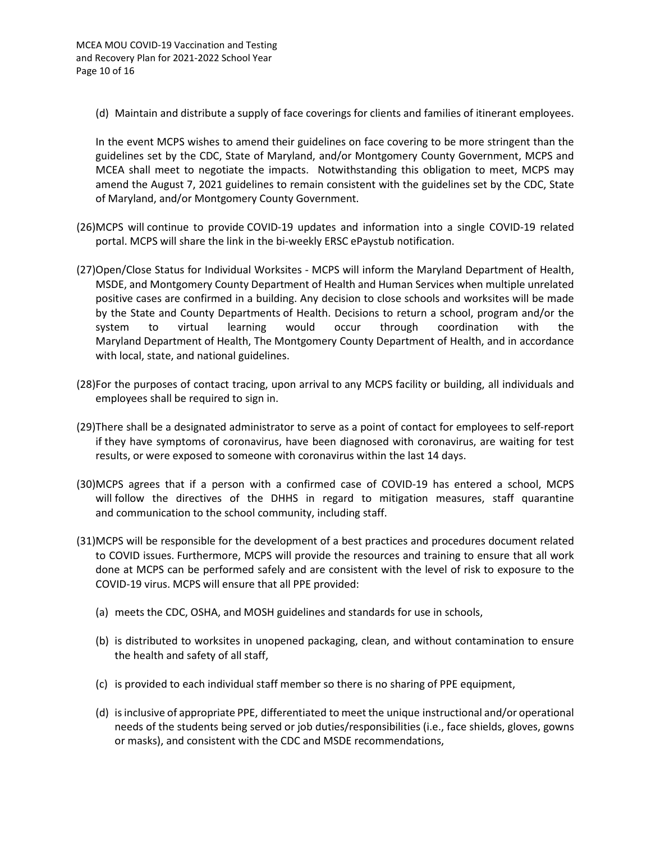(d) Maintain and distribute a supply of face coverings for clients and families of itinerant employees.

In the event MCPS wishes to amend their guidelines on face covering to be more stringent than the guidelines set by the CDC, State of Maryland, and/or Montgomery County Government, MCPS and MCEA shall meet to negotiate the impacts. Notwithstanding this obligation to meet, MCPS may amend the August 7, 2021 guidelines to remain consistent with the guidelines set by the CDC, State of Maryland, and/or Montgomery County Government.

- (26)MCPS will continue to provide COVID-19 updates and information into a single COVID-19 related portal. MCPS will share the link in the bi-weekly ERSC ePaystub notification.
- (27)Open/Close Status for Individual Worksites MCPS will inform the Maryland Department of Health, MSDE, and Montgomery County Department of Health and Human Services when multiple unrelated positive cases are confirmed in a building. Any decision to close schools and worksites will be made by the State and County Departments of Health. Decisions to return a school, program and/or the system to virtual learning would occur through coordination with the Maryland Department of Health, The Montgomery County Department of Health, and in accordance with local, state, and national guidelines.
- (28)For the purposes of contact tracing, upon arrival to any MCPS facility or building, all individuals and employees shall be required to sign in.
- (29)There shall be a designated administrator to serve as a point of contact for employees to self-report if they have symptoms of coronavirus, have been diagnosed with coronavirus, are waiting for test results, or were exposed to someone with coronavirus within the last 14 days.
- (30)MCPS agrees that if a person with a confirmed case of COVID-19 has entered a school, MCPS will follow the directives of the DHHS in regard to mitigation measures, staff quarantine and communication to the school community, including staff.
- (31)MCPS will be responsible for the development of a best practices and procedures document related to COVID issues. Furthermore, MCPS will provide the resources and training to ensure that all work done at MCPS can be performed safely and are consistent with the level of risk to exposure to the COVID-19 virus. MCPS will ensure that all PPE provided:
	- (a) meets the CDC, OSHA, and MOSH guidelines and standards for use in schools,
	- (b) is distributed to worksites in unopened packaging, clean, and without contamination to ensure the health and safety of all staff,
	- (c) is provided to each individual staff member so there is no sharing of PPE equipment,
	- (d) is inclusive of appropriate PPE, differentiated to meet the unique instructional and/or operational needs of the students being served or job duties/responsibilities (i.e., face shields, gloves, gowns or masks), and consistent with the CDC and MSDE recommendations,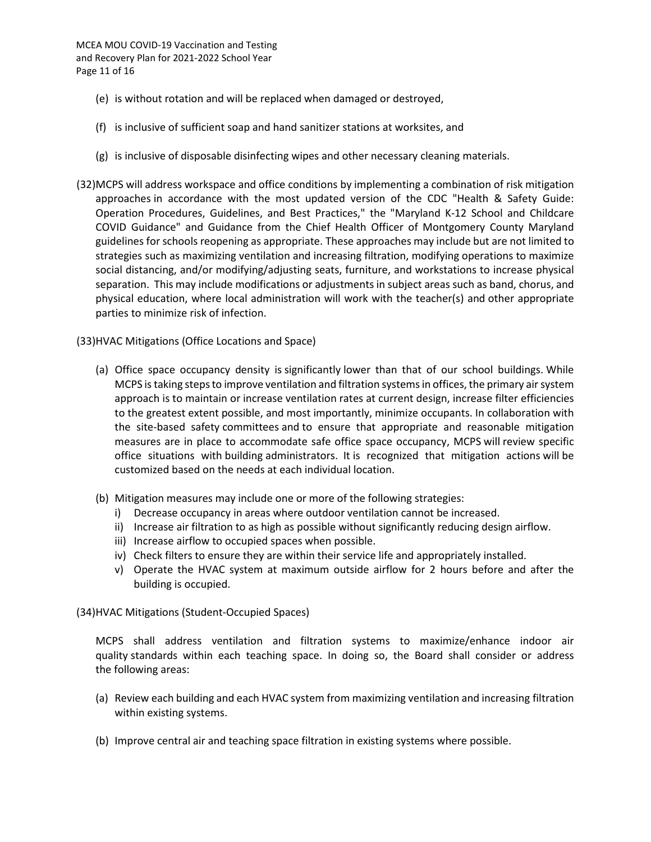- (e) is without rotation and will be replaced when damaged or destroyed,
- (f) is inclusive of sufficient soap and hand sanitizer stations at worksites, and
- (g) is inclusive of disposable disinfecting wipes and other necessary cleaning materials.
- (32)MCPS will address workspace and office conditions by implementing a combination of risk mitigation approaches in accordance with the most updated version of the CDC "Health & Safety Guide: Operation Procedures, Guidelines, and Best Practices," the "Maryland K-12 School and Childcare COVID Guidance" and Guidance from the Chief Health Officer of Montgomery County Maryland guidelines for schools reopening as appropriate. These approaches may include but are not limited to strategies such as maximizing ventilation and increasing filtration, modifying operations to maximize social distancing, and/or modifying/adjusting seats, furniture, and workstations to increase physical separation. This may include modifications or adjustments in subject areas such as band, chorus, and physical education, where local administration will work with the teacher(s) and other appropriate parties to minimize risk of infection.
- (33)HVAC Mitigations (Office Locations and Space)
	- (a) Office space occupancy density is significantly lower than that of our school buildings. While MCPS is taking steps to improve ventilation and filtration systems in offices, the primary air system approach is to maintain or increase ventilation rates at current design, increase filter efficiencies to the greatest extent possible, and most importantly, minimize occupants. In collaboration with the site-based safety committees and to ensure that appropriate and reasonable mitigation measures are in place to accommodate safe office space occupancy, MCPS will review specific office situations with building administrators. It is recognized that mitigation actions will be customized based on the needs at each individual location.
	- (b) Mitigation measures may include one or more of the following strategies:
		- i) Decrease occupancy in areas where outdoor ventilation cannot be increased.
		- ii) Increase air filtration to as high as possible without significantly reducing design airflow.
		- iii) Increase airflow to occupied spaces when possible.
		- iv) Check filters to ensure they are within their service life and appropriately installed.
		- v) Operate the HVAC system at maximum outside airflow for 2 hours before and after the building is occupied.
- (34)HVAC Mitigations (Student-Occupied Spaces)

MCPS shall address ventilation and filtration systems to maximize/enhance indoor air quality standards within each teaching space. In doing so, the Board shall consider or address the following areas:

- (a) Review each building and each HVAC system from maximizing ventilation and increasing filtration within existing systems.
- (b) Improve central air and teaching space filtration in existing systems where possible.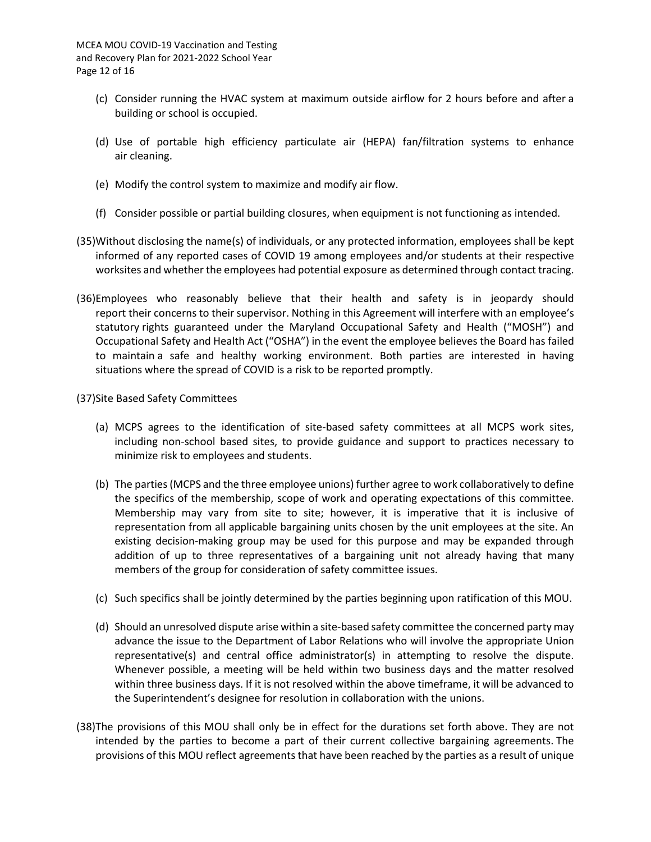- (c) Consider running the HVAC system at maximum outside airflow for 2 hours before and after a building or school is occupied.
- (d) Use of portable high efficiency particulate air (HEPA) fan/filtration systems to enhance air cleaning.
- (e) Modify the control system to maximize and modify air flow.
- (f) Consider possible or partial building closures, when equipment is not functioning as intended.
- (35)Without disclosing the name(s) of individuals, or any protected information, employees shall be kept informed of any reported cases of COVID 19 among employees and/or students at their respective worksites and whether the employees had potential exposure as determined through contact tracing.
- (36)Employees who reasonably believe that their health and safety is in jeopardy should report their concerns to their supervisor. Nothing in this Agreement will interfere with an employee's statutory rights guaranteed under the Maryland Occupational Safety and Health ("MOSH") and Occupational Safety and Health Act ("OSHA") in the event the employee believes the Board has failed to maintain a safe and healthy working environment. Both parties are interested in having situations where the spread of COVID is a risk to be reported promptly.
- (37)Site Based Safety Committees
	- (a) MCPS agrees to the identification of site-based safety committees at all MCPS work sites, including non-school based sites, to provide guidance and support to practices necessary to minimize risk to employees and students.
	- (b) The parties (MCPS and the three employee unions) further agree to work collaboratively to define the specifics of the membership, scope of work and operating expectations of this committee. Membership may vary from site to site; however, it is imperative that it is inclusive of representation from all applicable bargaining units chosen by the unit employees at the site. An existing decision-making group may be used for this purpose and may be expanded through addition of up to three representatives of a bargaining unit not already having that many members of the group for consideration of safety committee issues.
	- (c) Such specifics shall be jointly determined by the parties beginning upon ratification of this MOU.
	- (d) Should an unresolved dispute arise within a site-based safety committee the concerned party may advance the issue to the Department of Labor Relations who will involve the appropriate Union representative(s) and central office administrator(s) in attempting to resolve the dispute. Whenever possible, a meeting will be held within two business days and the matter resolved within three business days. If it is not resolved within the above timeframe, it will be advanced to the Superintendent's designee for resolution in collaboration with the unions.
- (38)The provisions of this MOU shall only be in effect for the durations set forth above. They are not intended by the parties to become a part of their current collective bargaining agreements. The provisions of this MOU reflect agreements that have been reached by the parties as a result of unique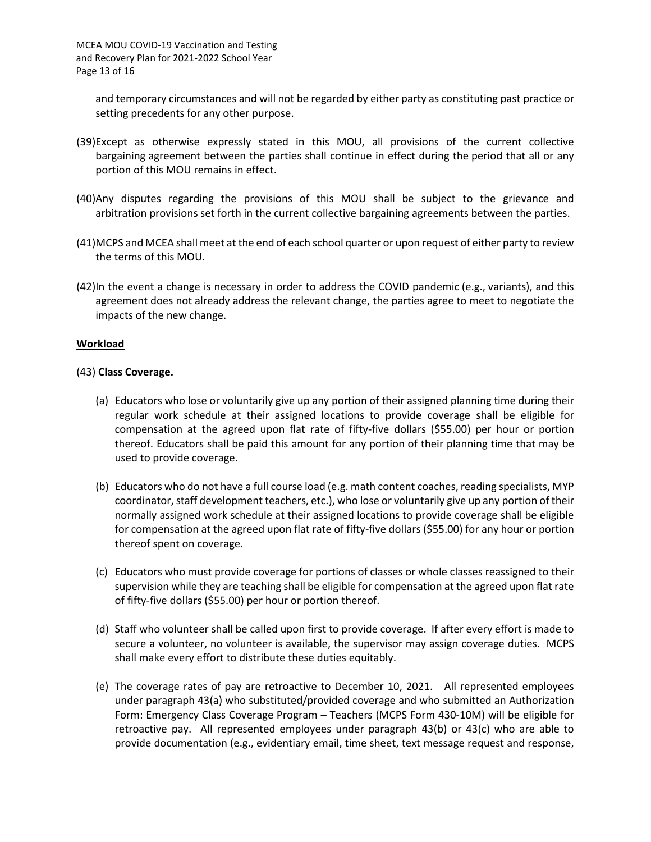and temporary circumstances and will not be regarded by either party as constituting past practice or setting precedents for any other purpose.

- (39)Except as otherwise expressly stated in this MOU, all provisions of the current collective bargaining agreement between the parties shall continue in effect during the period that all or any portion of this MOU remains in effect.
- (40)Any disputes regarding the provisions of this MOU shall be subject to the grievance and arbitration provisions set forth in the current collective bargaining agreements between the parties.
- (41)MCPS and MCEA shall meet at the end of each school quarter or upon request of either party to review the terms of this MOU.
- (42)In the event a change is necessary in order to address the COVID pandemic (e.g., variants), and this agreement does not already address the relevant change, the parties agree to meet to negotiate the impacts of the new change.

#### **Workload**

#### (43) **Class Coverage.**

- (a) Educators who lose or voluntarily give up any portion of their assigned planning time during their regular work schedule at their assigned locations to provide coverage shall be eligible for compensation at the agreed upon flat rate of fifty-five dollars (\$55.00) per hour or portion thereof. Educators shall be paid this amount for any portion of their planning time that may be used to provide coverage.
- (b) Educators who do not have a full course load (e.g. math content coaches, reading specialists, MYP coordinator, staff development teachers, etc.), who lose or voluntarily give up any portion of their normally assigned work schedule at their assigned locations to provide coverage shall be eligible for compensation at the agreed upon flat rate of fifty-five dollars (\$55.00) for any hour or portion thereof spent on coverage.
- (c) Educators who must provide coverage for portions of classes or whole classes reassigned to their supervision while they are teaching shall be eligible for compensation at the agreed upon flat rate of fifty-five dollars (\$55.00) per hour or portion thereof.
- (d) Staff who volunteer shall be called upon first to provide coverage. If after every effort is made to secure a volunteer, no volunteer is available, the supervisor may assign coverage duties. MCPS shall make every effort to distribute these duties equitably.
- (e) The coverage rates of pay are retroactive to December 10, 2021. All represented employees under paragraph 43(a) who substituted/provided coverage and who submitted an Authorization Form: Emergency Class Coverage Program – Teachers (MCPS Form 430-10M) will be eligible for retroactive pay. All represented employees under paragraph 43(b) or 43(c) who are able to provide documentation (e.g., evidentiary email, time sheet, text message request and response,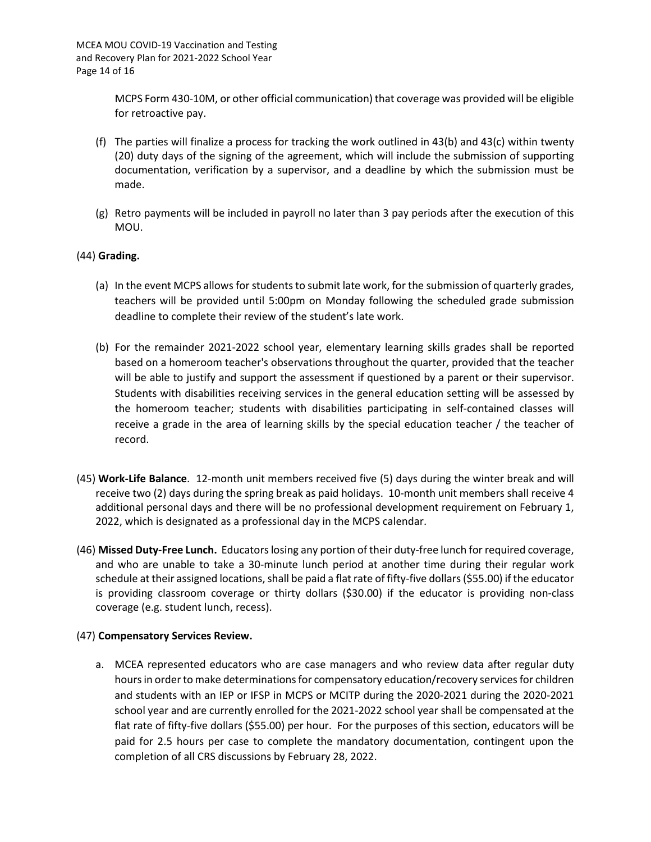MCPS Form 430-10M, or other official communication) that coverage was provided will be eligible for retroactive pay.

- (f) The parties will finalize a process for tracking the work outlined in 43(b) and 43(c) within twenty (20) duty days of the signing of the agreement, which will include the submission of supporting documentation, verification by a supervisor, and a deadline by which the submission must be made.
- (g) Retro payments will be included in payroll no later than 3 pay periods after the execution of this MOU.

### (44) **Grading.**

- (a) In the event MCPS allows for students to submit late work, for the submission of quarterly grades, teachers will be provided until 5:00pm on Monday following the scheduled grade submission deadline to complete their review of the student's late work.
- (b) For the remainder 2021-2022 school year, elementary learning skills grades shall be reported based on a homeroom teacher's observations throughout the quarter, provided that the teacher will be able to justify and support the assessment if questioned by a parent or their supervisor. Students with disabilities receiving services in the general education setting will be assessed by the homeroom teacher; students with disabilities participating in self-contained classes will receive a grade in the area of learning skills by the special education teacher / the teacher of record.
- (45) **Work-Life Balance**. 12-month unit members received five (5) days during the winter break and will receive two (2) days during the spring break as paid holidays. 10-month unit members shall receive 4 additional personal days and there will be no professional development requirement on February 1, 2022, which is designated as a professional day in the MCPS calendar.
- (46) **Missed Duty-Free Lunch.** Educators losing any portion of their duty-free lunch for required coverage, and who are unable to take a 30-minute lunch period at another time during their regular work schedule at their assigned locations, shall be paid a flat rate of fifty-five dollars (\$55.00) if the educator is providing classroom coverage or thirty dollars (\$30.00) if the educator is providing non-class coverage (e.g. student lunch, recess).

### (47) **Compensatory Services Review.**

a. MCEA represented educators who are case managers and who review data after regular duty hours in order to make determinations for compensatory education/recovery services for children and students with an IEP or IFSP in MCPS or MCITP during the 2020-2021 during the 2020-2021 school year and are currently enrolled for the 2021-2022 school year shall be compensated at the flat rate of fifty-five dollars (\$55.00) per hour. For the purposes of this section, educators will be paid for 2.5 hours per case to complete the mandatory documentation, contingent upon the completion of all CRS discussions by February 28, 2022.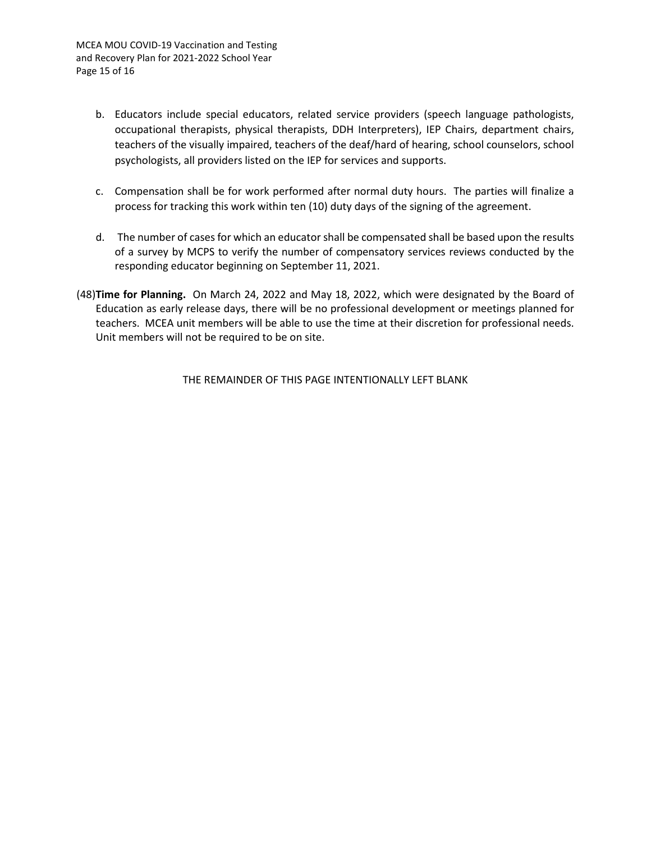- b. Educators include special educators, related service providers (speech language pathologists, occupational therapists, physical therapists, DDH Interpreters), IEP Chairs, department chairs, teachers of the visually impaired, teachers of the deaf/hard of hearing, school counselors, school psychologists, all providers listed on the IEP for services and supports.
- c. Compensation shall be for work performed after normal duty hours. The parties will finalize a process for tracking this work within ten (10) duty days of the signing of the agreement.
- d. The number of cases for which an educator shall be compensated shall be based upon the results of a survey by MCPS to verify the number of compensatory services reviews conducted by the responding educator beginning on September 11, 2021.
- (48)**Time for Planning.** On March 24, 2022 and May 18, 2022, which were designated by the Board of Education as early release days, there will be no professional development or meetings planned for teachers. MCEA unit members will be able to use the time at their discretion for professional needs. Unit members will not be required to be on site.

THE REMAINDER OF THIS PAGE INTENTIONALLY LEFT BLANK